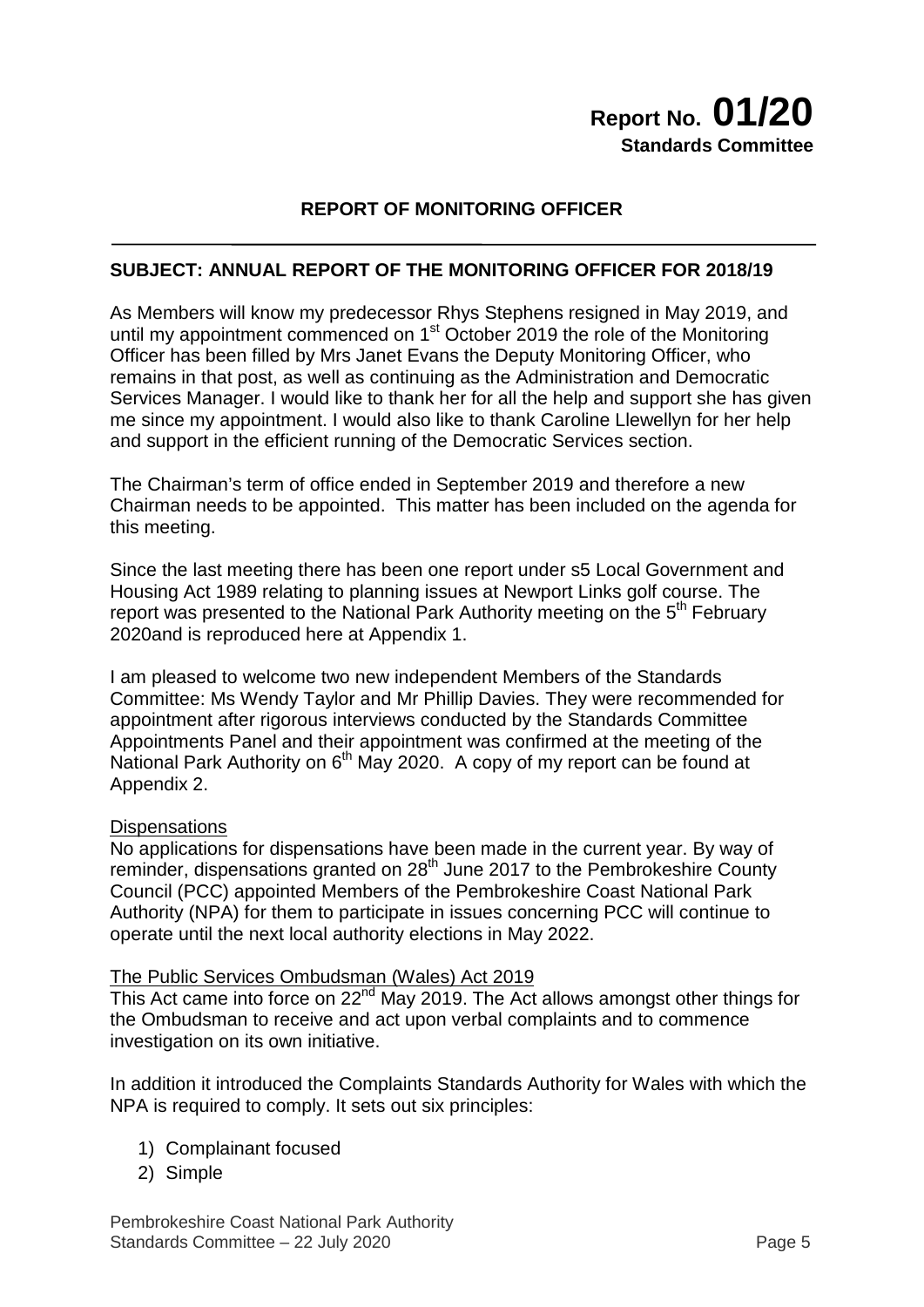## **REPORT OF MONITORING OFFICER**

## **SUBJECT: ANNUAL REPORT OF THE MONITORING OFFICER FOR 2018/19**

As Members will know my predecessor Rhys Stephens resigned in May 2019, and until my appointment commenced on  $1<sup>st</sup>$  October 2019 the role of the Monitoring Officer has been filled by Mrs Janet Evans the Deputy Monitoring Officer, who remains in that post, as well as continuing as the Administration and Democratic Services Manager. I would like to thank her for all the help and support she has given me since my appointment. I would also like to thank Caroline Llewellyn for her help and support in the efficient running of the Democratic Services section.

The Chairman's term of office ended in September 2019 and therefore a new Chairman needs to be appointed. This matter has been included on the agenda for this meeting.

Since the last meeting there has been one report under s5 Local Government and Housing Act 1989 relating to planning issues at Newport Links golf course. The report was presented to the National Park Authority meeting on the 5<sup>th</sup> February 2020and is reproduced here at Appendix 1.

I am pleased to welcome two new independent Members of the Standards Committee: Ms Wendy Taylor and Mr Phillip Davies. They were recommended for appointment after rigorous interviews conducted by the Standards Committee Appointments Panel and their appointment was confirmed at the meeting of the National Park Authority on 6<sup>th</sup> May 2020. A copy of my report can be found at Appendix 2.

#### **Dispensations**

No applications for dispensations have been made in the current year. By way of reminder, dispensations granted on 28<sup>th</sup> June 2017 to the Pembrokeshire County Council (PCC) appointed Members of the Pembrokeshire Coast National Park Authority (NPA) for them to participate in issues concerning PCC will continue to operate until the next local authority elections in May 2022.

#### The Public Services Ombudsman (Wales) Act 2019

This Act came into force on  $22<sup>nd</sup>$  May 2019. The Act allows amongst other things for the Ombudsman to receive and act upon verbal complaints and to commence investigation on its own initiative.

In addition it introduced the Complaints Standards Authority for Wales with which the NPA is required to comply. It sets out six principles:

- 1) Complainant focused
- 2) Simple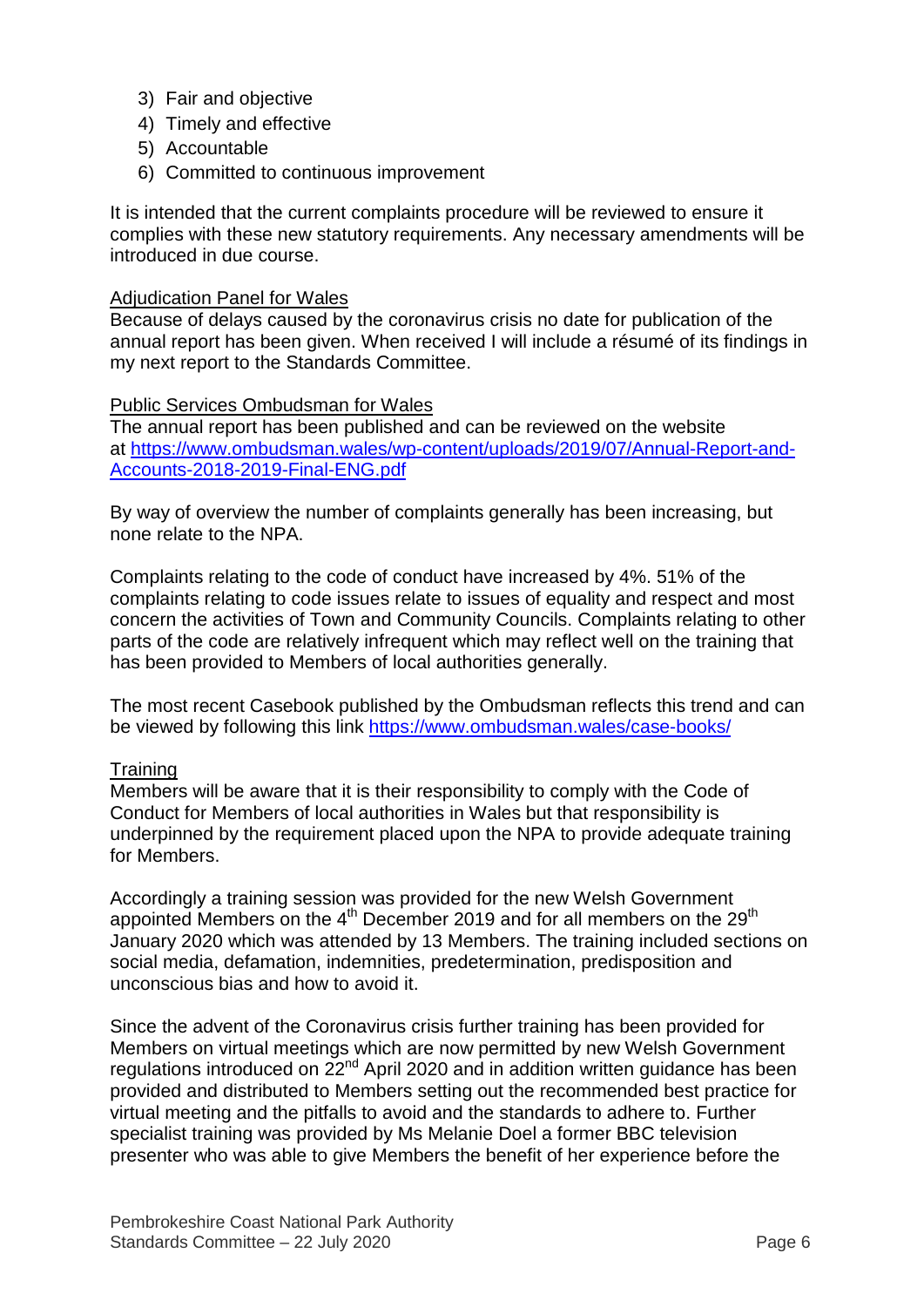- 3) Fair and objective
- 4) Timely and effective
- 5) Accountable
- 6) Committed to continuous improvement

It is intended that the current complaints procedure will be reviewed to ensure it complies with these new statutory requirements. Any necessary amendments will be introduced in due course.

#### Adjudication Panel for Wales

Because of delays caused by the coronavirus crisis no date for publication of the annual report has been given. When received I will include a résumé of its findings in my next report to the Standards Committee.

#### Public Services Ombudsman for Wales

The annual report has been published and can be reviewed on the website at [https://www.ombudsman.wales/wp-content/uploads/2019/07/Annual-Report-and-](https://www.ombudsman.wales/wp-content/uploads/2019/07/Annual-Report-and-Accounts-2018-2019-Final-ENG.pdf)[Accounts-2018-2019-Final-ENG.pdf](https://www.ombudsman.wales/wp-content/uploads/2019/07/Annual-Report-and-Accounts-2018-2019-Final-ENG.pdf)

By way of overview the number of complaints generally has been increasing, but none relate to the NPA.

Complaints relating to the code of conduct have increased by 4%. 51% of the complaints relating to code issues relate to issues of equality and respect and most concern the activities of Town and Community Councils. Complaints relating to other parts of the code are relatively infrequent which may reflect well on the training that has been provided to Members of local authorities generally.

The most recent Casebook published by the Ombudsman reflects this trend and can be viewed by following this link <https://www.ombudsman.wales/case-books/>

#### **Training**

Members will be aware that it is their responsibility to comply with the Code of Conduct for Members of local authorities in Wales but that responsibility is underpinned by the requirement placed upon the NPA to provide adequate training for Members.

Accordingly a training session was provided for the new Welsh Government appointed Members on the 4<sup>th</sup> December 2019 and for all members on the 29<sup>th</sup> January 2020 which was attended by 13 Members. The training included sections on social media, defamation, indemnities, predetermination, predisposition and unconscious bias and how to avoid it.

Since the advent of the Coronavirus crisis further training has been provided for Members on virtual meetings which are now permitted by new Welsh Government regulations introduced on  $22^{nd}$  April 2020 and in addition written guidance has been provided and distributed to Members setting out the recommended best practice for virtual meeting and the pitfalls to avoid and the standards to adhere to. Further specialist training was provided by Ms Melanie Doel a former BBC television presenter who was able to give Members the benefit of her experience before the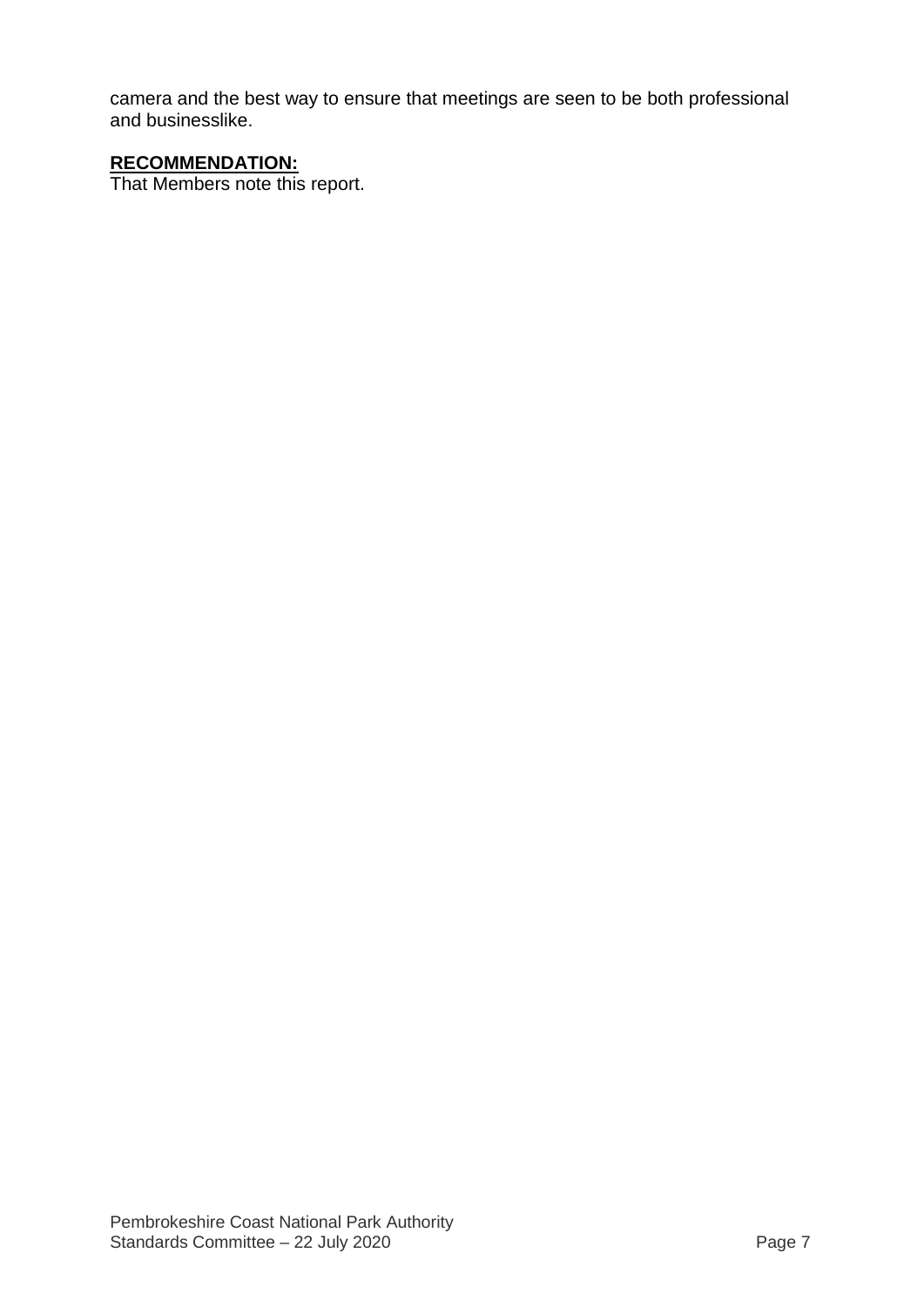camera and the best way to ensure that meetings are seen to be both professional and businesslike.

## **RECOMMENDATION:**

That Members note this report.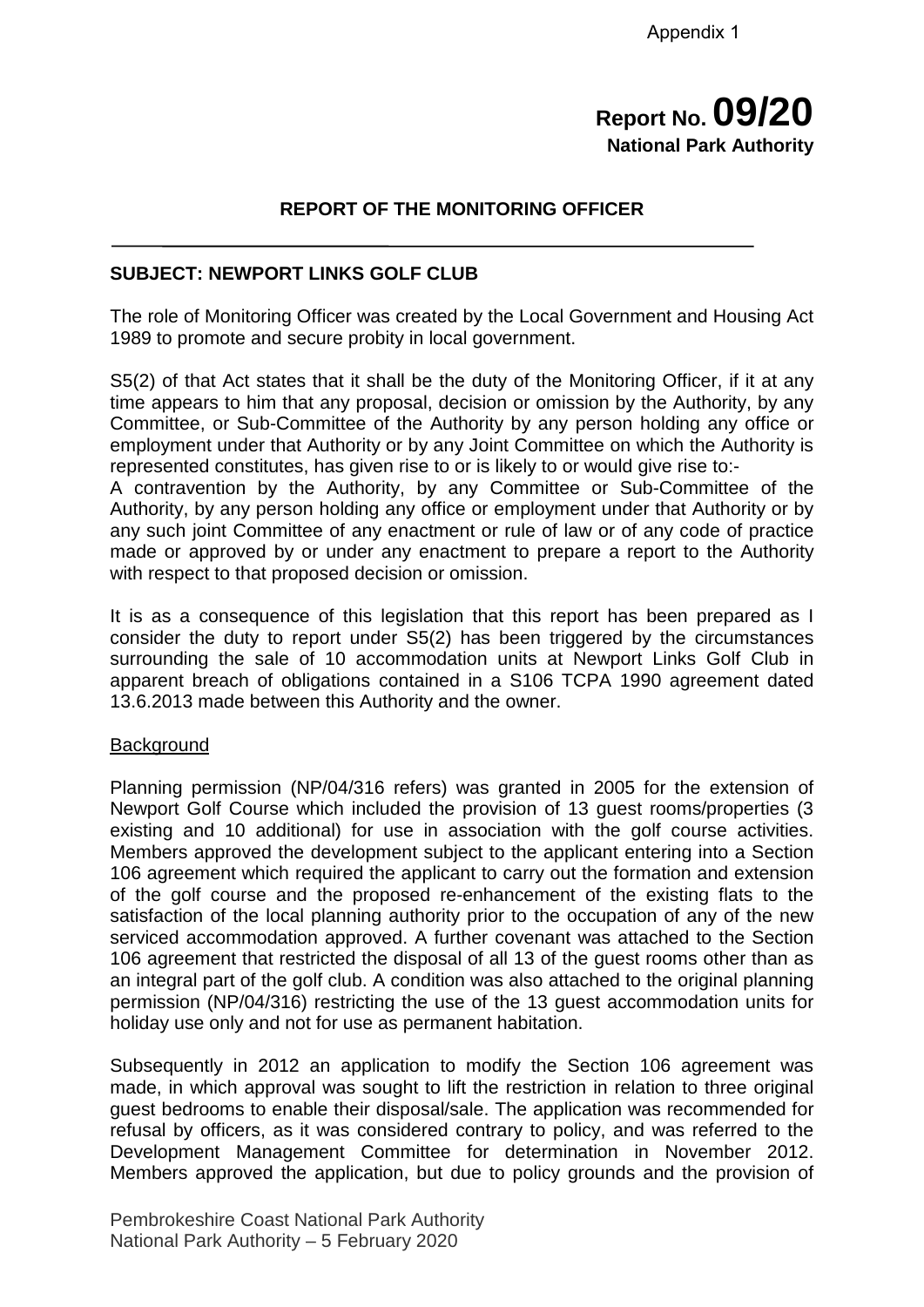# **Report No. 09/20 National Park Authority**

## **REPORT OF THE MONITORING OFFICER**

#### **SUBJECT: NEWPORT LINKS GOLF CLUB**

The role of Monitoring Officer was created by the Local Government and Housing Act 1989 to promote and secure probity in local government.

S5(2) of that Act states that it shall be the duty of the Monitoring Officer, if it at any time appears to him that any proposal, decision or omission by the Authority, by any Committee, or Sub-Committee of the Authority by any person holding any office or employment under that Authority or by any Joint Committee on which the Authority is represented constitutes, has given rise to or is likely to or would give rise to:-

A contravention by the Authority, by any Committee or Sub-Committee of the Authority, by any person holding any office or employment under that Authority or by any such joint Committee of any enactment or rule of law or of any code of practice made or approved by or under any enactment to prepare a report to the Authority with respect to that proposed decision or omission.

It is as a consequence of this legislation that this report has been prepared as I consider the duty to report under S5(2) has been triggered by the circumstances surrounding the sale of 10 accommodation units at Newport Links Golf Club in apparent breach of obligations contained in a S106 TCPA 1990 agreement dated 13.6.2013 made between this Authority and the owner.

#### **Background**

Planning permission (NP/04/316 refers) was granted in 2005 for the extension of Newport Golf Course which included the provision of 13 guest rooms/properties (3 existing and 10 additional) for use in association with the golf course activities. Members approved the development subject to the applicant entering into a Section 106 agreement which required the applicant to carry out the formation and extension of the golf course and the proposed re-enhancement of the existing flats to the satisfaction of the local planning authority prior to the occupation of any of the new serviced accommodation approved. A further covenant was attached to the Section 106 agreement that restricted the disposal of all 13 of the guest rooms other than as an integral part of the golf club. A condition was also attached to the original planning permission (NP/04/316) restricting the use of the 13 guest accommodation units for holiday use only and not for use as permanent habitation.

Subsequently in 2012 an application to modify the Section 106 agreement was made, in which approval was sought to lift the restriction in relation to three original guest bedrooms to enable their disposal/sale. The application was recommended for refusal by officers, as it was considered contrary to policy, and was referred to the Development Management Committee for determination in November 2012. Members approved the application, but due to policy grounds and the provision of

Pembrokeshire Coast National Park Authority National Park Authority – 5 February 2020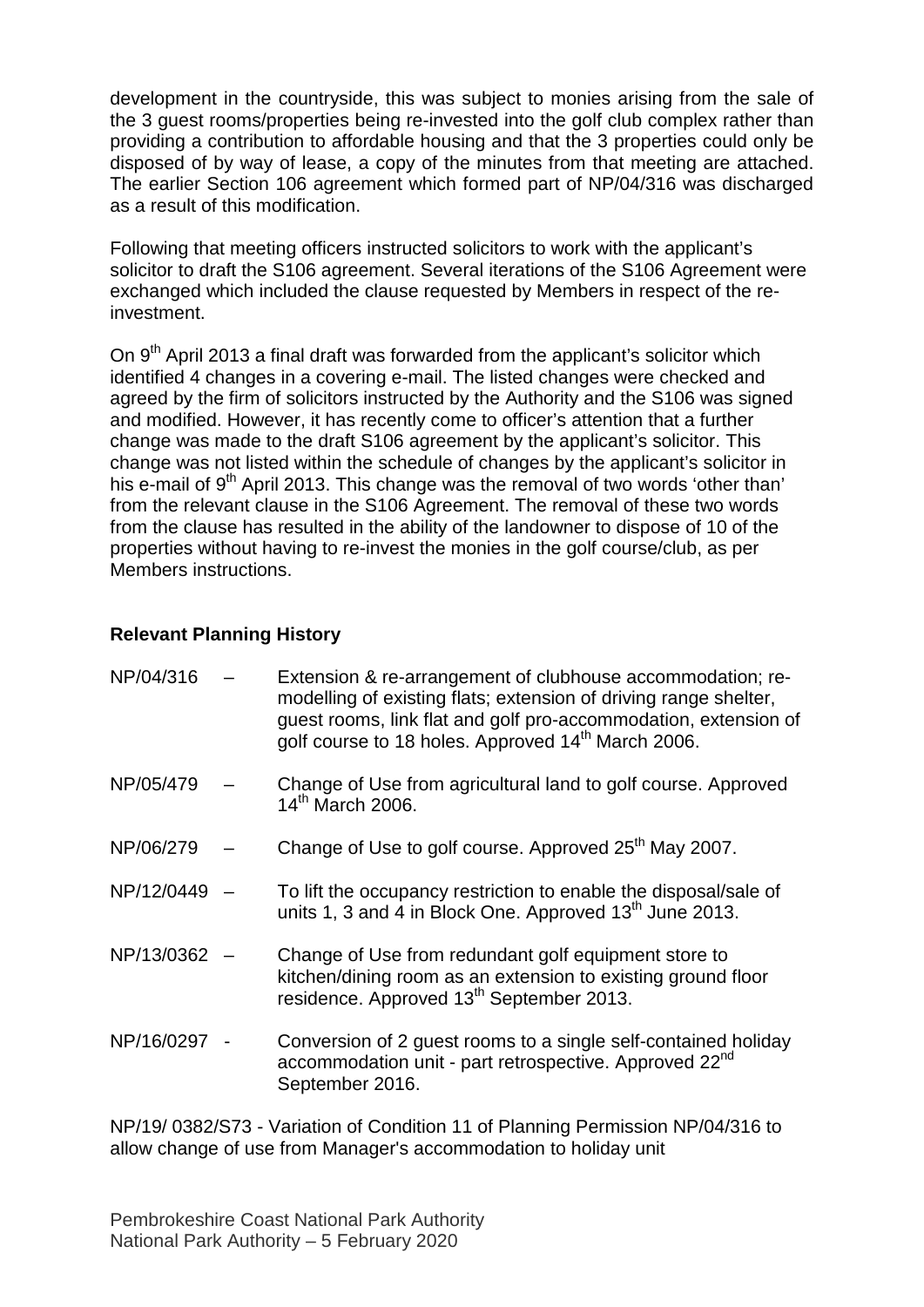development in the countryside, this was subject to monies arising from the sale of the 3 guest rooms/properties being re-invested into the golf club complex rather than providing a contribution to affordable housing and that the 3 properties could only be disposed of by way of lease, a copy of the minutes from that meeting are attached. The earlier Section 106 agreement which formed part of NP/04/316 was discharged as a result of this modification.

Following that meeting officers instructed solicitors to work with the applicant's solicitor to draft the S106 agreement. Several iterations of the S106 Agreement were exchanged which included the clause requested by Members in respect of the reinvestment.

On 9<sup>th</sup> April 2013 a final draft was forwarded from the applicant's solicitor which identified 4 changes in a covering e-mail. The listed changes were checked and agreed by the firm of solicitors instructed by the Authority and the S106 was signed and modified. However, it has recently come to officer's attention that a further change was made to the draft S106 agreement by the applicant's solicitor. This change was not listed within the schedule of changes by the applicant's solicitor in his e-mail of 9<sup>th</sup> April 2013. This change was the removal of two words 'other than' from the relevant clause in the S106 Agreement. The removal of these two words from the clause has resulted in the ability of the landowner to dispose of 10 of the properties without having to re-invest the monies in the golf course/club, as per Members instructions.

#### **Relevant Planning History**

| NP/04/316  | Extension & re-arrangement of clubhouse accommodation; re-<br>modelling of existing flats; extension of driving range shelter,<br>guest rooms, link flat and golf pro-accommodation, extension of<br>golf course to 18 holes. Approved 14 <sup>th</sup> March 2006. |
|------------|---------------------------------------------------------------------------------------------------------------------------------------------------------------------------------------------------------------------------------------------------------------------|
| NP/05/479  | Change of Use from agricultural land to golf course. Approved<br>14 <sup>th</sup> March 2006.                                                                                                                                                                       |
| NP/06/279  | Change of Use to golf course. Approved 25 <sup>th</sup> May 2007.                                                                                                                                                                                                   |
| NP/12/0449 | To lift the occupancy restriction to enable the disposal/sale of<br>units 1, 3 and 4 in Block One. Approved 13 <sup>th</sup> June 2013.                                                                                                                             |
| NP/13/0362 | Change of Use from redundant golf equipment store to<br>kitchen/dining room as an extension to existing ground floor<br>residence. Approved 13 <sup>th</sup> September 2013.                                                                                        |
| NP/16/0297 | Conversion of 2 guest rooms to a single self-contained holiday<br>accommodation unit - part retrospective. Approved 22nd<br>September 2016.                                                                                                                         |

NP/19/ 0382/S73 - Variation of Condition 11 of Planning Permission NP/04/316 to allow change of use from Manager's accommodation to holiday unit

Pembrokeshire Coast National Park Authority National Park Authority – 5 February 2020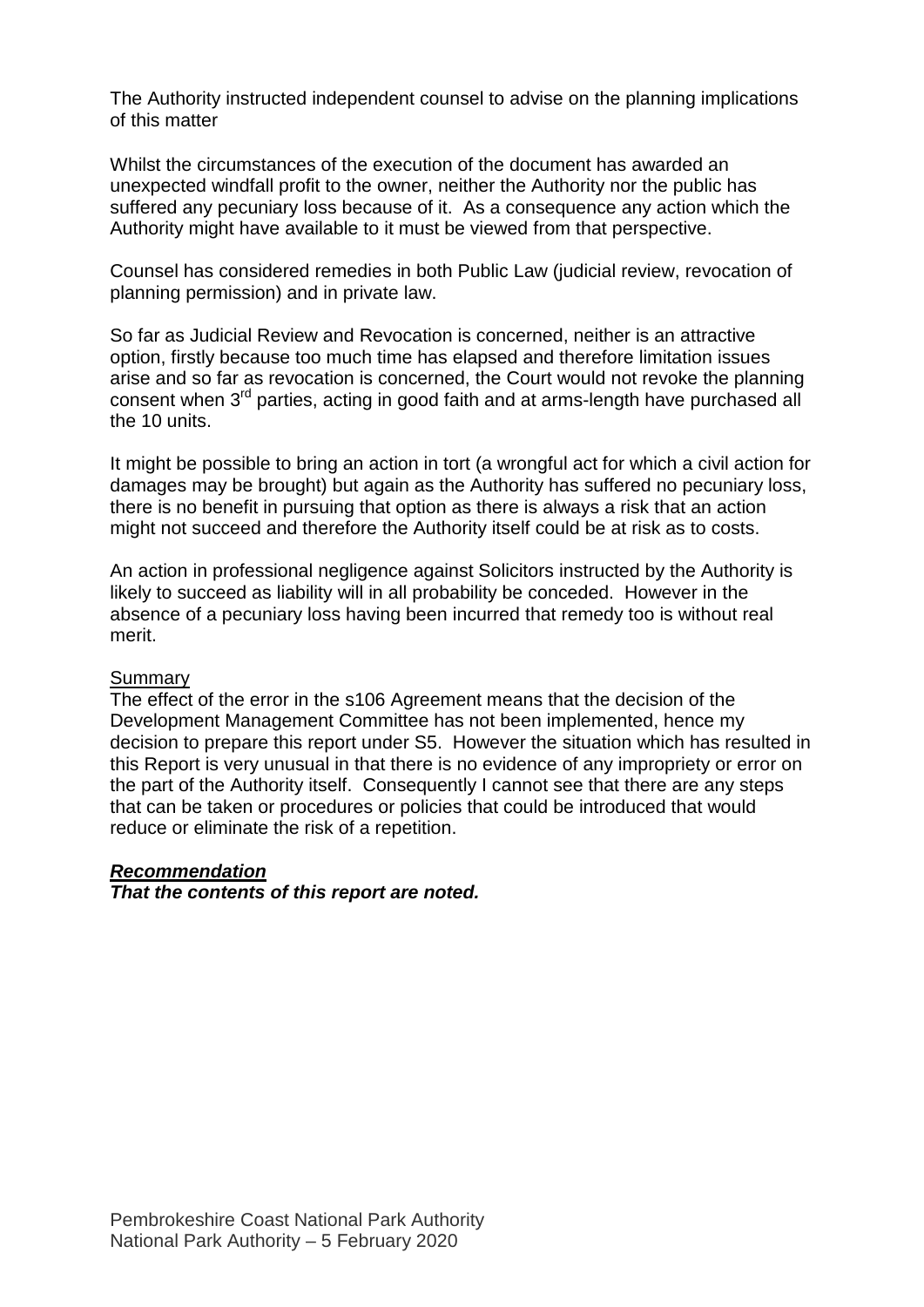The Authority instructed independent counsel to advise on the planning implications of this matter

Whilst the circumstances of the execution of the document has awarded an unexpected windfall profit to the owner, neither the Authority nor the public has suffered any pecuniary loss because of it. As a consequence any action which the Authority might have available to it must be viewed from that perspective.

Counsel has considered remedies in both Public Law (judicial review, revocation of planning permission) and in private law.

So far as Judicial Review and Revocation is concerned, neither is an attractive option, firstly because too much time has elapsed and therefore limitation issues arise and so far as revocation is concerned, the Court would not revoke the planning consent when 3<sup>rd</sup> parties, acting in good faith and at arms-length have purchased all the 10 units.

It might be possible to bring an action in tort (a wrongful act for which a civil action for damages may be brought) but again as the Authority has suffered no pecuniary loss, there is no benefit in pursuing that option as there is always a risk that an action might not succeed and therefore the Authority itself could be at risk as to costs.

An action in professional negligence against Solicitors instructed by the Authority is likely to succeed as liability will in all probability be conceded. However in the absence of a pecuniary loss having been incurred that remedy too is without real merit.

#### **Summary**

The effect of the error in the s106 Agreement means that the decision of the Development Management Committee has not been implemented, hence my decision to prepare this report under S5. However the situation which has resulted in this Report is very unusual in that there is no evidence of any impropriety or error on the part of the Authority itself. Consequently I cannot see that there are any steps that can be taken or procedures or policies that could be introduced that would reduce or eliminate the risk of a repetition.

#### *Recommendation*

*That the contents of this report are noted.*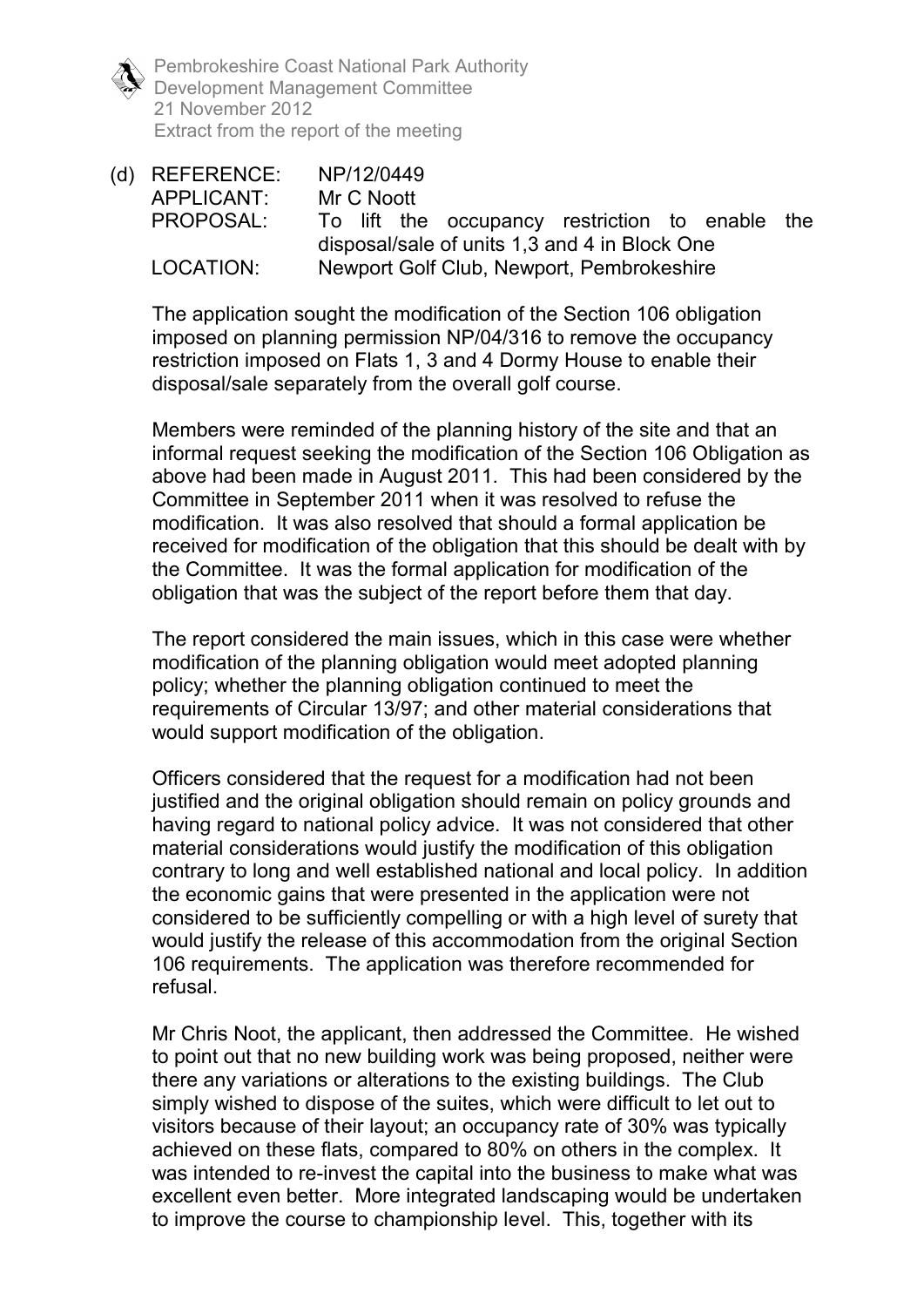Pembrokeshire Coast National Park Authority Development Management Committee 21 November 2012 Extract from the report of the meeting

(d) REFERENCE: NP/12/0449 APPLICANT: Mr C Noott PROPOSAL: To lift the occupancy restriction to enable the disposal/sale of units 1,3 and 4 in Block One LOCATION: Newport Golf Club, Newport, Pembrokeshire

The application sought the modification of the Section 106 obligation imposed on planning permission NP/04/316 to remove the occupancy restriction imposed on Flats 1, 3 and 4 Dormy House to enable their disposal/sale separately from the overall golf course.

Members were reminded of the planning history of the site and that an informal request seeking the modification of the Section 106 Obligation as above had been made in August 2011. This had been considered by the Committee in September 2011 when it was resolved to refuse the modification. It was also resolved that should a formal application be received for modification of the obligation that this should be dealt with by the Committee. It was the formal application for modification of the obligation that was the subject of the report before them that day.

The report considered the main issues, which in this case were whether modification of the planning obligation would meet adopted planning policy; whether the planning obligation continued to meet the requirements of Circular 13/97; and other material considerations that would support modification of the obligation.

Officers considered that the request for a modification had not been justified and the original obligation should remain on policy grounds and having regard to national policy advice. It was not considered that other material considerations would justify the modification of this obligation contrary to long and well established national and local policy. In addition the economic gains that were presented in the application were not considered to be sufficiently compelling or with a high level of surety that would justify the release of this accommodation from the original Section 106 requirements. The application was therefore recommended for refusal.

Mr Chris Noot, the applicant, then addressed the Committee. He wished to point out that no new building work was being proposed, neither were there any variations or alterations to the existing buildings. The Club simply wished to dispose of the suites, which were difficult to let out to visitors because of their layout; an occupancy rate of 30% was typically achieved on these flats, compared to 80% on others in the complex. It was intended to re-invest the capital into the business to make what was excellent even better. More integrated landscaping would be undertaken to improve the course to championship level. This, together with its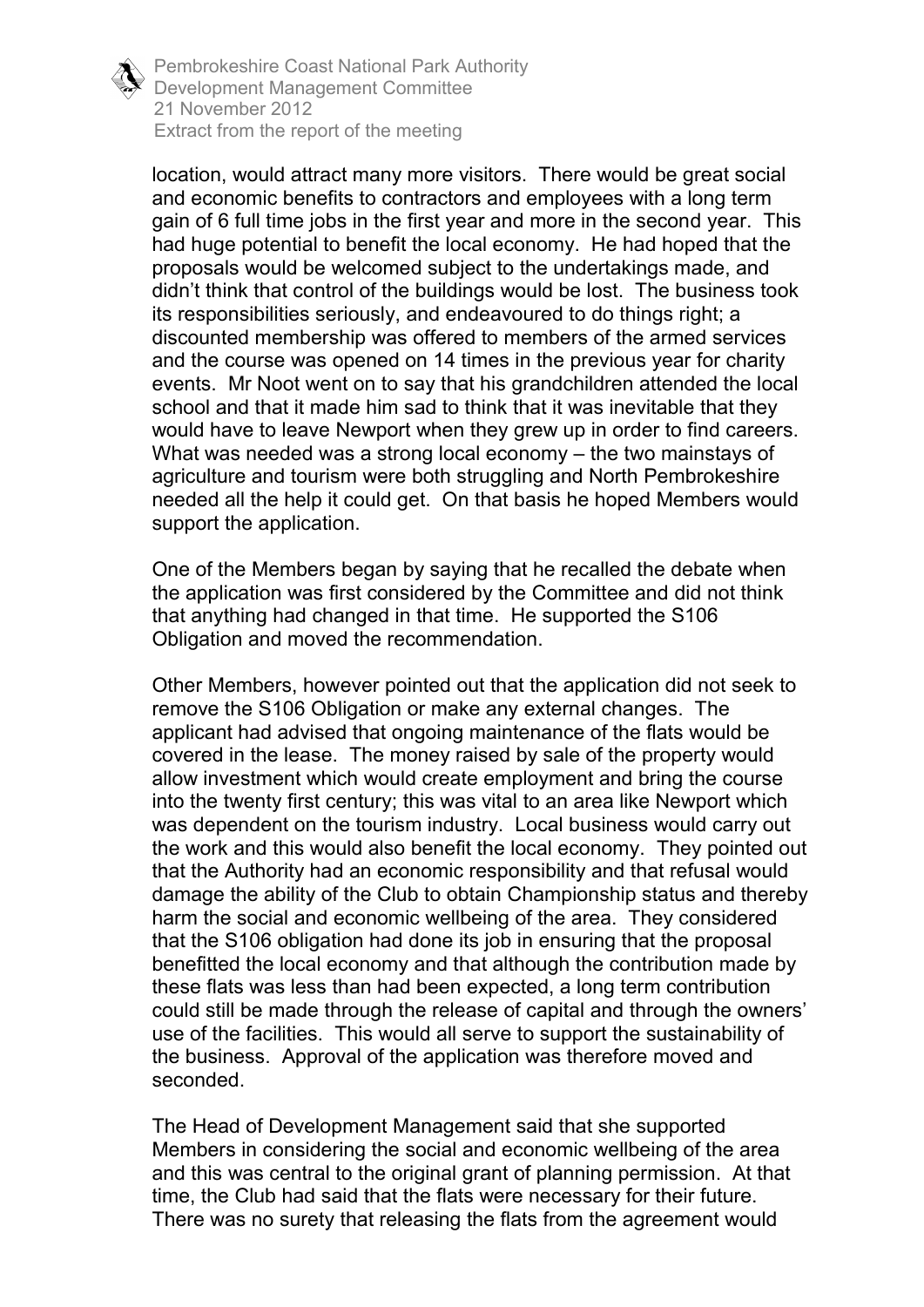

Pembrokeshire Coast National Park Authority Development Management Committee 21 November 2012 Extract from the report of the meeting

location, would attract many more visitors. There would be great social and economic benefits to contractors and employees with a long term gain of 6 full time jobs in the first year and more in the second year. This had huge potential to benefit the local economy. He had hoped that the proposals would be welcomed subject to the undertakings made, and didn't think that control of the buildings would be lost. The business took its responsibilities seriously, and endeavoured to do things right; a discounted membership was offered to members of the armed services and the course was opened on 14 times in the previous year for charity events. Mr Noot went on to say that his grandchildren attended the local school and that it made him sad to think that it was inevitable that they would have to leave Newport when they grew up in order to find careers. What was needed was a strong local economy – the two mainstays of agriculture and tourism were both struggling and North Pembrokeshire needed all the help it could get. On that basis he hoped Members would support the application.

One of the Members began by saying that he recalled the debate when the application was first considered by the Committee and did not think that anything had changed in that time. He supported the S106 Obligation and moved the recommendation.

Other Members, however pointed out that the application did not seek to remove the S106 Obligation or make any external changes. The applicant had advised that ongoing maintenance of the flats would be covered in the lease. The money raised by sale of the property would allow investment which would create employment and bring the course into the twenty first century; this was vital to an area like Newport which was dependent on the tourism industry. Local business would carry out the work and this would also benefit the local economy. They pointed out that the Authority had an economic responsibility and that refusal would damage the ability of the Club to obtain Championship status and thereby harm the social and economic wellbeing of the area. They considered that the S106 obligation had done its job in ensuring that the proposal benefitted the local economy and that although the contribution made by these flats was less than had been expected, a long term contribution could still be made through the release of capital and through the owners' use of the facilities. This would all serve to support the sustainability of the business. Approval of the application was therefore moved and seconded.

The Head of Development Management said that she supported Members in considering the social and economic wellbeing of the area and this was central to the original grant of planning permission. At that time, the Club had said that the flats were necessary for their future. There was no surety that releasing the flats from the agreement would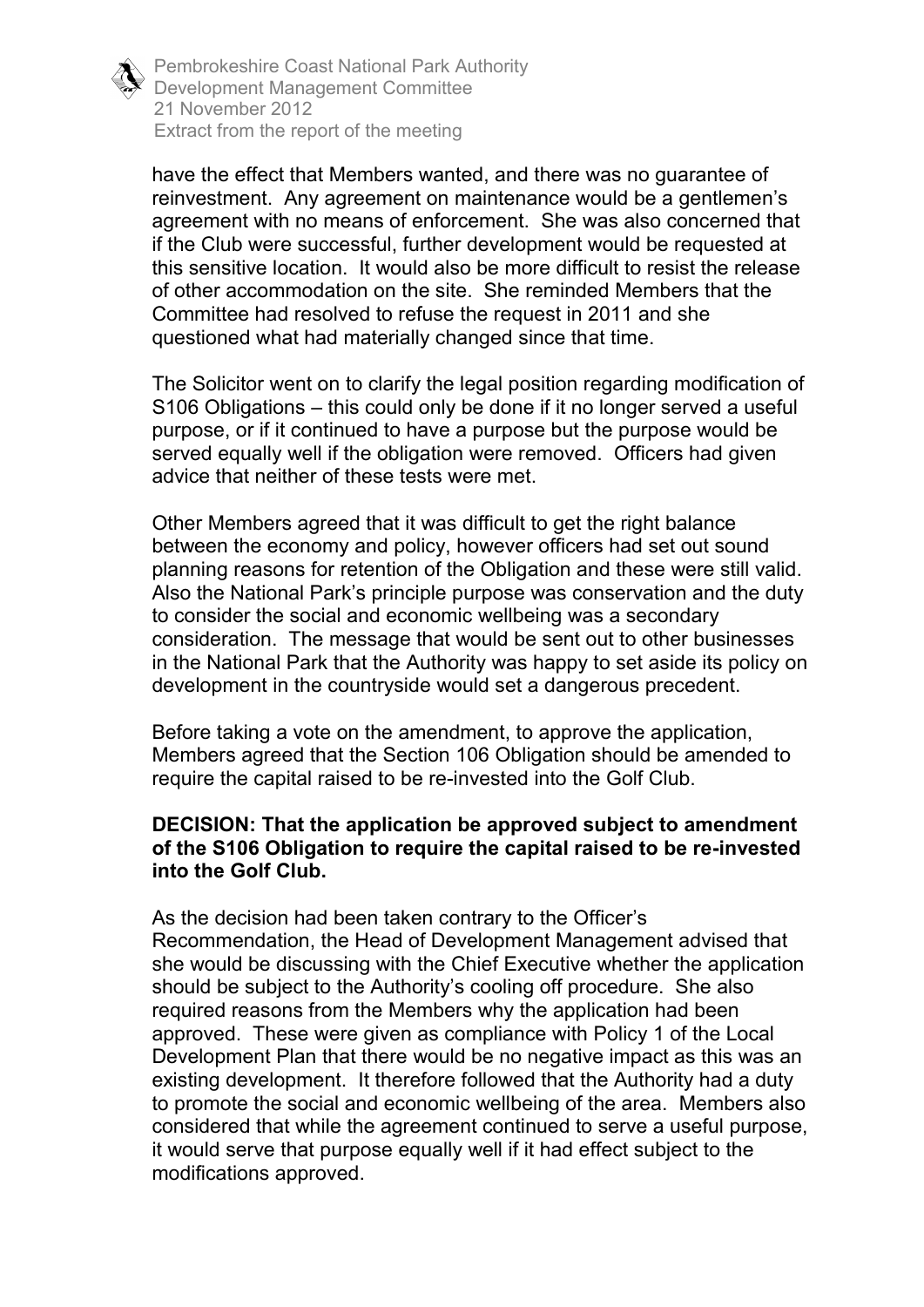

Pembrokeshire Coast National Park Authority Development Management Committee 21 November 2012 Extract from the report of the meeting

have the effect that Members wanted, and there was no guarantee of reinvestment. Any agreement on maintenance would be a gentlemen's agreement with no means of enforcement. She was also concerned that if the Club were successful, further development would be requested at this sensitive location. It would also be more difficult to resist the release of other accommodation on the site. She reminded Members that the Committee had resolved to refuse the request in 2011 and she questioned what had materially changed since that time.

The Solicitor went on to clarify the legal position regarding modification of S106 Obligations – this could only be done if it no longer served a useful purpose, or if it continued to have a purpose but the purpose would be served equally well if the obligation were removed. Officers had given advice that neither of these tests were met.

Other Members agreed that it was difficult to get the right balance between the economy and policy, however officers had set out sound planning reasons for retention of the Obligation and these were still valid. Also the National Park's principle purpose was conservation and the duty to consider the social and economic wellbeing was a secondary consideration. The message that would be sent out to other businesses in the National Park that the Authority was happy to set aside its policy on development in the countryside would set a dangerous precedent.

Before taking a vote on the amendment, to approve the application, Members agreed that the Section 106 Obligation should be amended to require the capital raised to be re-invested into the Golf Club.

## **DECISION: That the application be approved subject to amendment of the S106 Obligation to require the capital raised to be re-invested into the Golf Club.**

As the decision had been taken contrary to the Officer's Recommendation, the Head of Development Management advised that she would be discussing with the Chief Executive whether the application should be subject to the Authority's cooling off procedure. She also required reasons from the Members why the application had been approved. These were given as compliance with Policy 1 of the Local Development Plan that there would be no negative impact as this was an existing development. It therefore followed that the Authority had a duty to promote the social and economic wellbeing of the area. Members also considered that while the agreement continued to serve a useful purpose, it would serve that purpose equally well if it had effect subject to the modifications approved.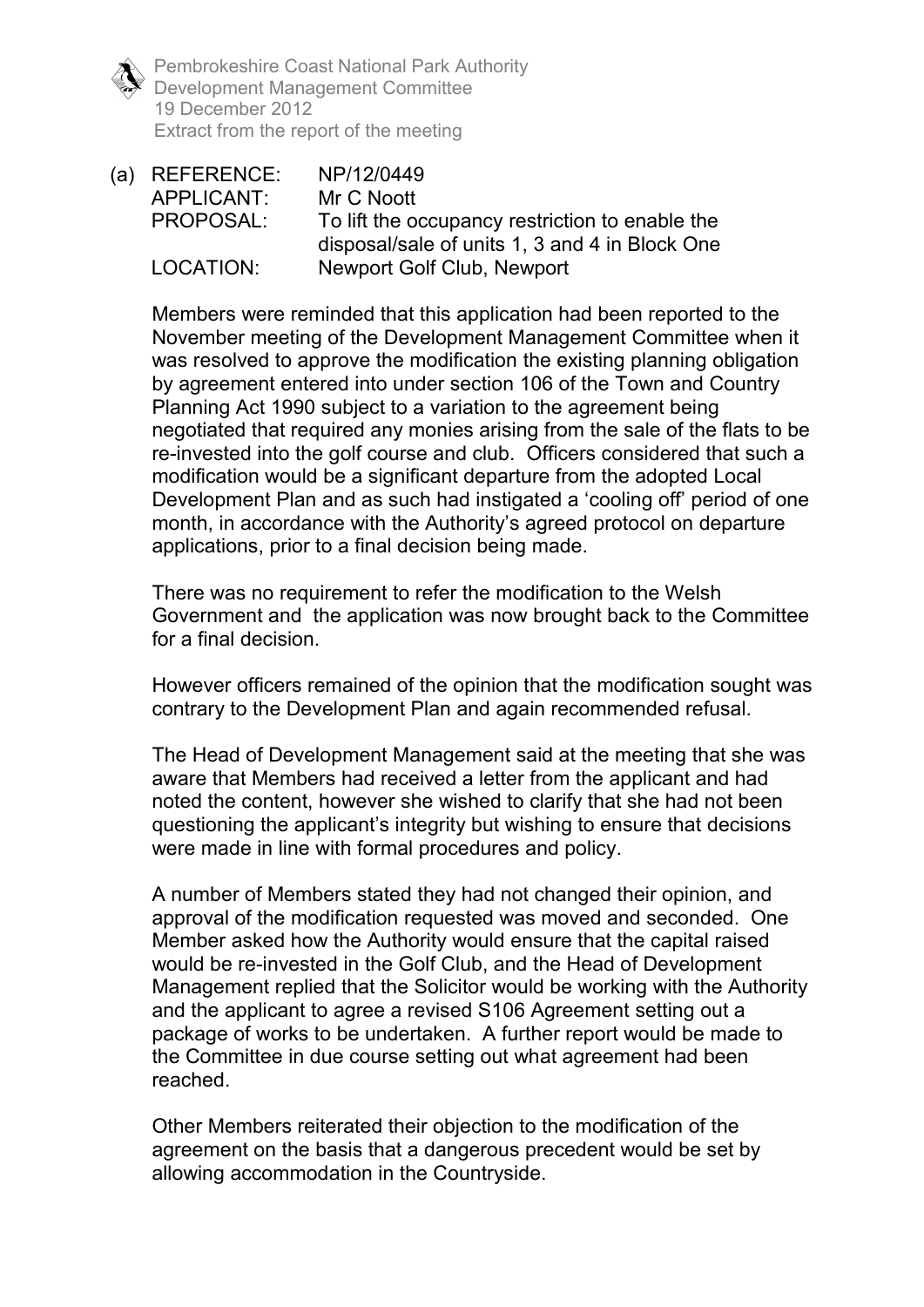Pembrokeshire Coast National Park Authority Development Management Committee 19 December 2012 Extract from the report of the meeting

(a) REFERENCE: NP/12/0449 APPLICANT: Mr C Noott PROPOSAL: To lift the occupancy restriction to enable the disposal/sale of units 1, 3 and 4 in Block One LOCATION: Newport Golf Club, Newport

Members were reminded that this application had been reported to the November meeting of the Development Management Committee when it was resolved to approve the modification the existing planning obligation by agreement entered into under section 106 of the Town and Country Planning Act 1990 subject to a variation to the agreement being negotiated that required any monies arising from the sale of the flats to be re-invested into the golf course and club. Officers considered that such a modification would be a significant departure from the adopted Local Development Plan and as such had instigated a 'cooling off' period of one month, in accordance with the Authority's agreed protocol on departure applications, prior to a final decision being made.

There was no requirement to refer the modification to the Welsh Government and the application was now brought back to the Committee for a final decision.

However officers remained of the opinion that the modification sought was contrary to the Development Plan and again recommended refusal.

The Head of Development Management said at the meeting that she was aware that Members had received a letter from the applicant and had noted the content, however she wished to clarify that she had not been questioning the applicant's integrity but wishing to ensure that decisions were made in line with formal procedures and policy.

A number of Members stated they had not changed their opinion, and approval of the modification requested was moved and seconded. One Member asked how the Authority would ensure that the capital raised would be re-invested in the Golf Club, and the Head of Development Management replied that the Solicitor would be working with the Authority and the applicant to agree a revised S106 Agreement setting out a package of works to be undertaken. A further report would be made to the Committee in due course setting out what agreement had been reached.

Other Members reiterated their objection to the modification of the agreement on the basis that a dangerous precedent would be set by allowing accommodation in the Countryside.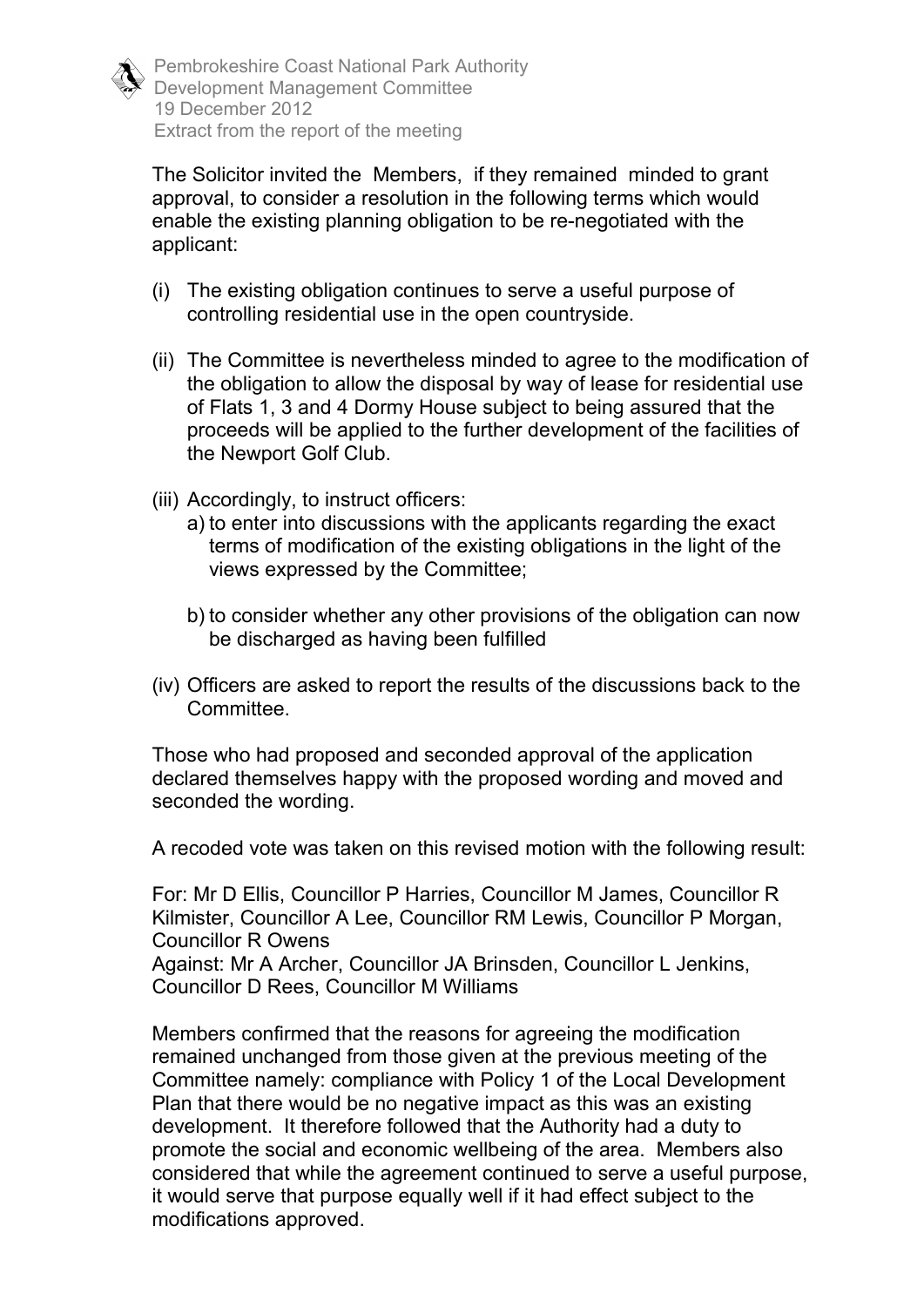The Solicitor invited the Members, if they remained minded to grant approval, to consider a resolution in the following terms which would enable the existing planning obligation to be re-negotiated with the applicant:

- (i) The existing obligation continues to serve a useful purpose of controlling residential use in the open countryside.
- (ii) The Committee is nevertheless minded to agree to the modification of the obligation to allow the disposal by way of lease for residential use of Flats 1, 3 and 4 Dormy House subject to being assured that the proceeds will be applied to the further development of the facilities of the Newport Golf Club.
- (iii) Accordingly, to instruct officers:
	- a) to enter into discussions with the applicants regarding the exact terms of modification of the existing obligations in the light of the views expressed by the Committee;
	- b) to consider whether any other provisions of the obligation can now be discharged as having been fulfilled
- (iv) Officers are asked to report the results of the discussions back to the Committee.

Those who had proposed and seconded approval of the application declared themselves happy with the proposed wording and moved and seconded the wording.

A recoded vote was taken on this revised motion with the following result:

For: Mr D Ellis, Councillor P Harries, Councillor M James, Councillor R Kilmister, Councillor A Lee, Councillor RM Lewis, Councillor P Morgan, Councillor R Owens

Against: Mr A Archer, Councillor JA Brinsden, Councillor L Jenkins, Councillor D Rees, Councillor M Williams

Members confirmed that the reasons for agreeing the modification remained unchanged from those given at the previous meeting of the Committee namely: compliance with Policy 1 of the Local Development Plan that there would be no negative impact as this was an existing development. It therefore followed that the Authority had a duty to promote the social and economic wellbeing of the area. Members also considered that while the agreement continued to serve a useful purpose, it would serve that purpose equally well if it had effect subject to the modifications approved.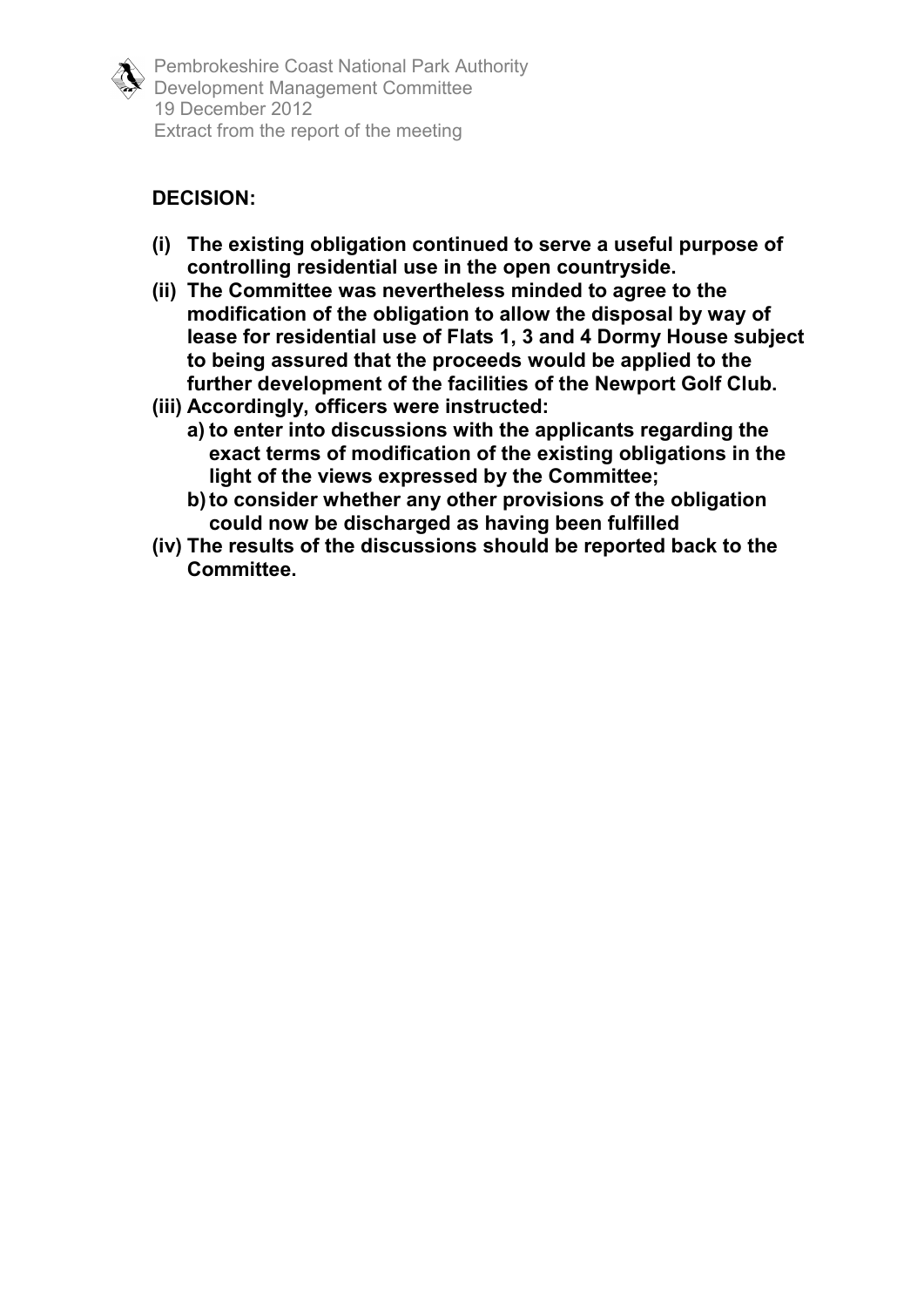

Pembrokeshire Coast National Park Authority Development Management Committee 19 December 2012 Extract from the report of the meeting

## **DECISION:**

- **(i) The existing obligation continued to serve a useful purpose of controlling residential use in the open countryside.**
- **(ii) The Committee was nevertheless minded to agree to the modification of the obligation to allow the disposal by way of lease for residential use of Flats 1, 3 and 4 Dormy House subject to being assured that the proceeds would be applied to the further development of the facilities of the Newport Golf Club.**
- **(iii) Accordingly, officers were instructed:** 
	- **a) to enter into discussions with the applicants regarding the exact terms of modification of the existing obligations in the light of the views expressed by the Committee;**
	- **b) to consider whether any other provisions of the obligation could now be discharged as having been fulfilled**
- **(iv) The results of the discussions should be reported back to the Committee.**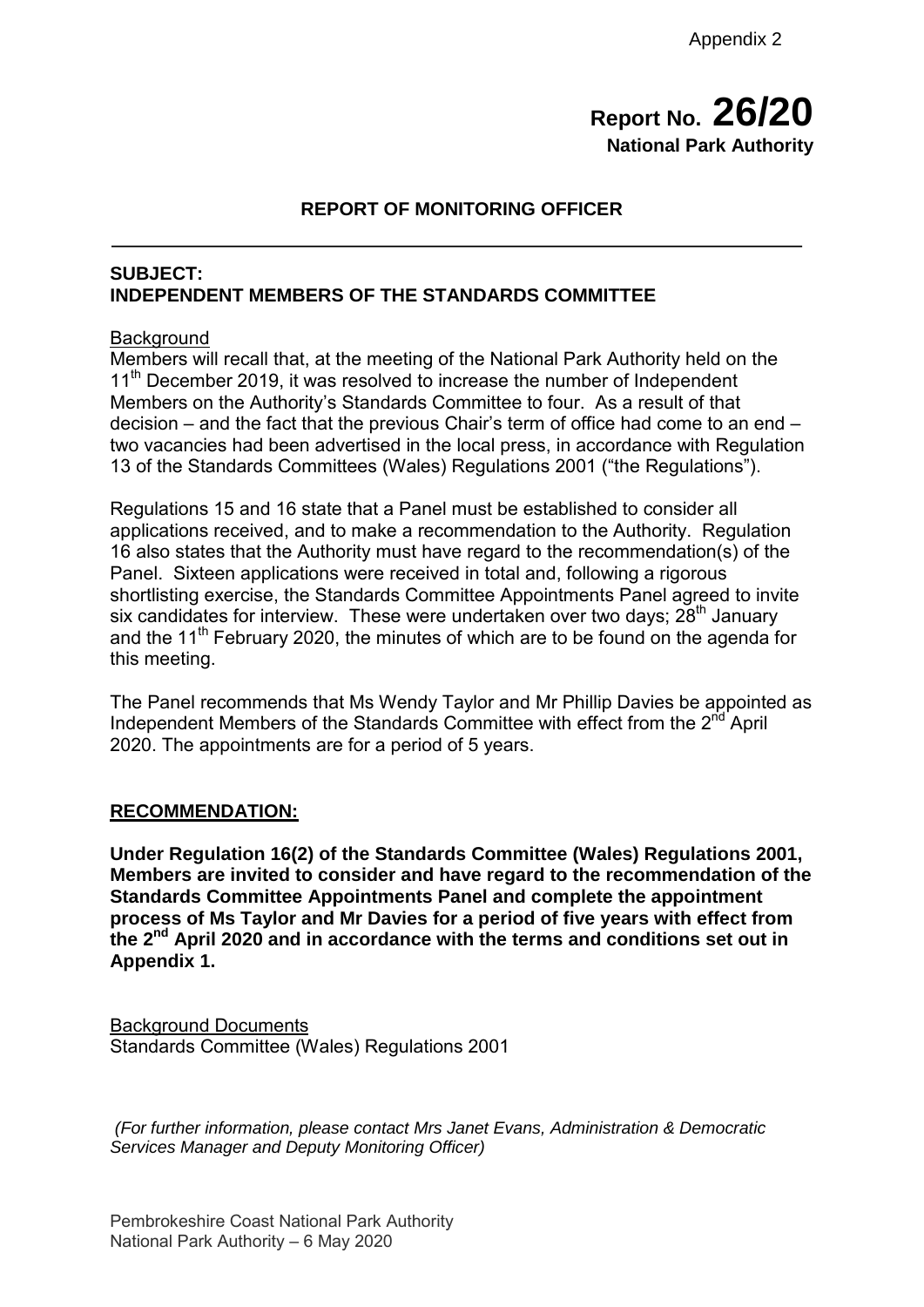## **Report No. 26/20 National Park Authority**

## **REPORT OF MONITORING OFFICER**

#### **SUBJECT: INDEPENDENT MEMBERS OF THE STANDARDS COMMITTEE**

#### **Background**

Members will recall that, at the meeting of the National Park Authority held on the 11<sup>th</sup> December 2019, it was resolved to increase the number of Independent Members on the Authority's Standards Committee to four. As a result of that decision – and the fact that the previous Chair's term of office had come to an end – two vacancies had been advertised in the local press, in accordance with Regulation 13 of the Standards Committees (Wales) Regulations 2001 ("the Regulations").

Regulations 15 and 16 state that a Panel must be established to consider all applications received, and to make a recommendation to the Authority. Regulation 16 also states that the Authority must have regard to the recommendation(s) of the Panel. Sixteen applications were received in total and, following a rigorous shortlisting exercise, the Standards Committee Appointments Panel agreed to invite six candidates for interview. These were undertaken over two days;  $28<sup>th</sup>$  January and the  $11<sup>th</sup>$  February 2020, the minutes of which are to be found on the agenda for this meeting.

The Panel recommends that Ms Wendy Taylor and Mr Phillip Davies be appointed as Independent Members of the Standards Committee with effect from the 2<sup>nd</sup> April 2020. The appointments are for a period of 5 years.

#### **RECOMMENDATION:**

**Under Regulation 16(2) of the Standards Committee (Wales) Regulations 2001, Members are invited to consider and have regard to the recommendation of the Standards Committee Appointments Panel and complete the appointment process of Ms Taylor and Mr Davies for a period of five years with effect from the 2nd April 2020 and in accordance with the terms and conditions set out in Appendix 1.** 

Background Documents Standards Committee (Wales) Regulations 2001

*(For further information, please contact Mrs Janet Evans, Administration & Democratic Services Manager and Deputy Monitoring Officer)*

Pembrokeshire Coast National Park Authority National Park Authority – 6 May 2020